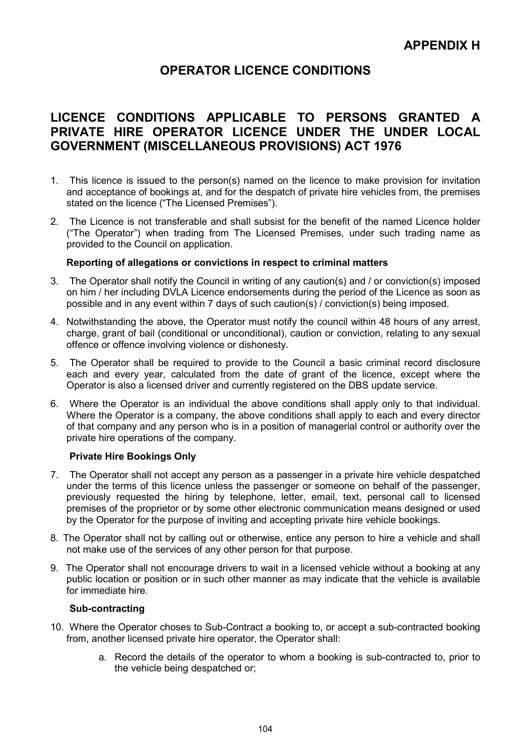# OPERATOR LICENCE CONDITIONS

# LICENCE CONDITIONS APPLICABLE TO PERSONS GRANTED A PRIVATE HIRE OPERATOR LICENCE UNDER THE UNDER LOCAL GOVERNMENT (MISCELLANEOUS PROVISIONS) ACT 1976

- 1. This licence is issued to the person(s) named on the licence to make provision for invitation and acceptance of bookings at, and for the despatch of private hire vehicles from, the premises stated on the licence ("The Licensed Premises").
- 2. The Licence is not transferable and shall subsist for the benefit of the named Licence holder ("The Operator") when trading from The Licensed Premises, under such trading name as provided to the Council on application.

#### Reporting of allegations or convictions in respect to criminal matters

- 3. The Operator shall notify the Council in writing of any caution(s) and / or conviction(s) imposed on him / her including DVLA Licence endorsements during the period of the Licence as soon as possible and in any event within 7 days of such caution(s) / conviction(s) being imposed.
- 4. Notwithstanding the above, the Operator must notify the council within 48 hours of any arrest, charge, grant of bail (conditional or unconditional), caution or conviction, relating to any sexual offence or offence involving violence or dishonesty.
- 5. The Operator shall be required to provide to the Council a basic criminal record disclosure each and every year, calculated from the date of grant of the licence, except where the Operator is also a licensed driver and currently registered on the DBS update service.
- 6. Where the Operator is an individual the above conditions shall apply only to that individual. Where the Operator is a company, the above conditions shall apply to each and every director of that company and any person who is in a position of managerial control or authority over the private hire operations of the company.

# Private Hire Bookings Only

- 7. The Operator shall not accept any person as a passenger in a private hire vehicle despatched under the terms of this licence unless the passenger or someone on behalf of the passenger, previously requested the hiring by telephone, letter, email, text, personal call to licensed premises of the proprietor or by some other electronic communication means designed or used by the Operator for the purpose of inviting and accepting private hire vehicle bookings.
- 8. The Operator shall not by calling out or otherwise, entice any person to hire a vehicle and shall not make use of the services of any other person for that purpose.
- 9. The Operator shall not encourage drivers to wait in a licensed vehicle without a booking at any public location or position or in such other manner as may indicate that the vehicle is available for immediate hire.

#### Sub-contracting

- 10. Where the Operator choses to Sub-Contract a booking to, or accept a sub-contracted booking from, another licensed private hire operator, the Operator shall:
	- a. Record the details of the operator to whom a booking is sub-contracted to, prior to the vehicle being despatched or;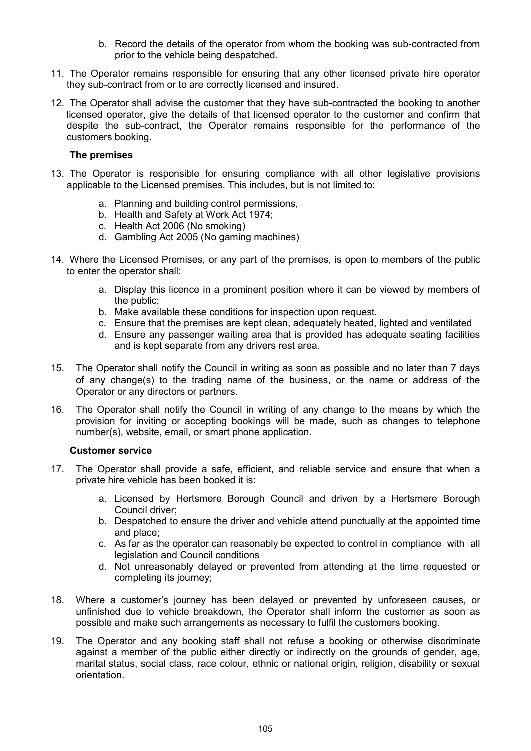- b. Record the details of the operator from whom the booking was sub-contracted from prior to the vehicle being despatched.
- 11. The Operator remains responsible for ensuring that any other licensed private hire operator they sub-contract from or to are correctly licensed and insured.
- 12. The Operator shall advise the customer that they have sub-contracted the booking to another licensed operator, give the details of that licensed operator to the customer and confirm that despite the sub-contract, the Operator remains responsible for the performance of the customers booking.

# The premises

- 13. The Operator is responsible for ensuring compliance with all other legislative provisions applicable to the Licensed premises. This includes, but is not limited to:
	- a. Planning and building control permissions,
	- b. Health and Safety at Work Act 1974;
	- c. Health Act 2006 (No smoking)
	- d. Gambling Act 2005 (No gaming machines)
- 14. Where the Licensed Premises, or any part of the premises, is open to members of the public to enter the operator shall:
	- a. Display this licence in a prominent position where it can be viewed by members of the public;
	- b. Make available these conditions for inspection upon request.
	- c. Ensure that the premises are kept clean, adequately heated, lighted and ventilated
	- d. Ensure any passenger waiting area that is provided has adequate seating facilities and is kept separate from any drivers rest area.
- 15. The Operator shall notify the Council in writing as soon as possible and no later than 7 days of any change(s) to the trading name of the business, or the name or address of the Operator or any directors or partners.
- 16. The Operator shall notify the Council in writing of any change to the means by which the provision for inviting or accepting bookings will be made, such as changes to telephone number(s), website, email, or smart phone application.

# Customer service

- 17. The Operator shall provide a safe, efficient, and reliable service and ensure that when a private hire vehicle has been booked it is:
	- a. Licensed by Hertsmere Borough Council and driven by a Hertsmere Borough Council driver;
	- b. Despatched to ensure the driver and vehicle attend punctually at the appointed time and place;
	- c. As far as the operator can reasonably be expected to control in compliance with all legislation and Council conditions
	- d. Not unreasonably delayed or prevented from attending at the time requested or completing its journey;
- 18. Where a customer's journey has been delayed or prevented by unforeseen causes, or unfinished due to vehicle breakdown, the Operator shall inform the customer as soon as possible and make such arrangements as necessary to fulfil the customers booking.
- 19. The Operator and any booking staff shall not refuse a booking or otherwise discriminate against a member of the public either directly or indirectly on the grounds of gender, age, marital status, social class, race colour, ethnic or national origin, religion, disability or sexual orientation.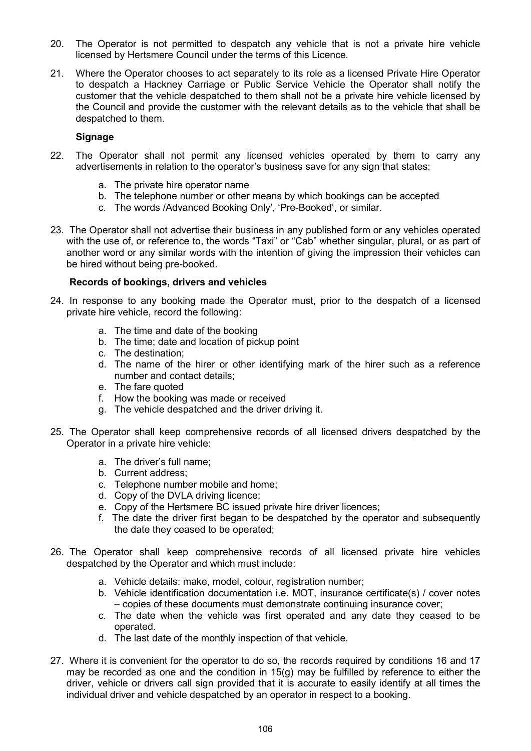- 20. The Operator is not permitted to despatch any vehicle that is not a private hire vehicle licensed by Hertsmere Council under the terms of this Licence.
- 21. Where the Operator chooses to act separately to its role as a licensed Private Hire Operator to despatch a Hackney Carriage or Public Service Vehicle the Operator shall notify the customer that the vehicle despatched to them shall not be a private hire vehicle licensed by the Council and provide the customer with the relevant details as to the vehicle that shall be despatched to them.

# Signage

- 22. The Operator shall not permit any licensed vehicles operated by them to carry any advertisements in relation to the operator's business save for any sign that states:
	- a. The private hire operator name
	- b. The telephone number or other means by which bookings can be accepted
	- c. The words /Advanced Booking Only', 'Pre-Booked', or similar.
- 23. The Operator shall not advertise their business in any published form or any vehicles operated with the use of, or reference to, the words "Taxi" or "Cab" whether singular, plural, or as part of another word or any similar words with the intention of giving the impression their vehicles can be hired without being pre-booked.

# Records of bookings, drivers and vehicles

- 24. In response to any booking made the Operator must, prior to the despatch of a licensed private hire vehicle, record the following:
	- a. The time and date of the booking
	- b. The time; date and location of pickup point
	- c. The destination;
	- d. The name of the hirer or other identifying mark of the hirer such as a reference number and contact details;
	- e. The fare quoted
	- f. How the booking was made or received
	- g. The vehicle despatched and the driver driving it.
- 25. The Operator shall keep comprehensive records of all licensed drivers despatched by the Operator in a private hire vehicle:
	- a. The driver's full name;
	- b. Current address;
	- c. Telephone number mobile and home;
	- d. Copy of the DVLA driving licence;
	- e. Copy of the Hertsmere BC issued private hire driver licences;
	- f. The date the driver first began to be despatched by the operator and subsequently the date they ceased to be operated;
- 26. The Operator shall keep comprehensive records of all licensed private hire vehicles despatched by the Operator and which must include:
	- a. Vehicle details: make, model, colour, registration number;
	- b. Vehicle identification documentation i.e. MOT, insurance certificate(s) / cover notes – copies of these documents must demonstrate continuing insurance cover;
	- c. The date when the vehicle was first operated and any date they ceased to be operated.
	- d. The last date of the monthly inspection of that vehicle.
- 27. Where it is convenient for the operator to do so, the records required by conditions 16 and 17 may be recorded as one and the condition in  $15(q)$  may be fulfilled by reference to either the driver, vehicle or drivers call sign provided that it is accurate to easily identify at all times the individual driver and vehicle despatched by an operator in respect to a booking.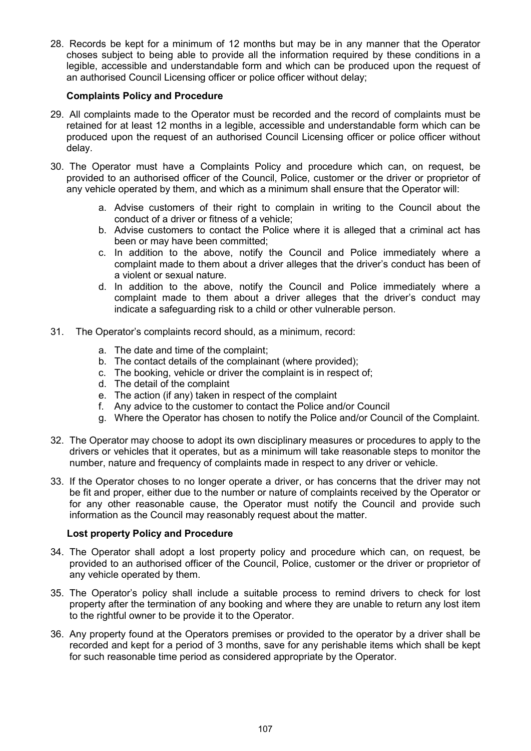28. Records be kept for a minimum of 12 months but may be in any manner that the Operator choses subject to being able to provide all the information required by these conditions in a legible, accessible and understandable form and which can be produced upon the request of an authorised Council Licensing officer or police officer without delay;

# Complaints Policy and Procedure

- 29. All complaints made to the Operator must be recorded and the record of complaints must be retained for at least 12 months in a legible, accessible and understandable form which can be produced upon the request of an authorised Council Licensing officer or police officer without delay.
- 30. The Operator must have a Complaints Policy and procedure which can, on request, be provided to an authorised officer of the Council, Police, customer or the driver or proprietor of any vehicle operated by them, and which as a minimum shall ensure that the Operator will:
	- a. Advise customers of their right to complain in writing to the Council about the conduct of a driver or fitness of a vehicle;
	- b. Advise customers to contact the Police where it is alleged that a criminal act has been or may have been committed;
	- c. In addition to the above, notify the Council and Police immediately where a complaint made to them about a driver alleges that the driver's conduct has been of a violent or sexual nature.
	- d. In addition to the above, notify the Council and Police immediately where a complaint made to them about a driver alleges that the driver's conduct may indicate a safeguarding risk to a child or other vulnerable person.
- 31. The Operator's complaints record should, as a minimum, record:
	- a. The date and time of the complaint;
	- b. The contact details of the complainant (where provided);
	- c. The booking, vehicle or driver the complaint is in respect of;
	- d. The detail of the complaint
	- e. The action (if any) taken in respect of the complaint
	- f. Any advice to the customer to contact the Police and/or Council
	- g. Where the Operator has chosen to notify the Police and/or Council of the Complaint.
- 32. The Operator may choose to adopt its own disciplinary measures or procedures to apply to the drivers or vehicles that it operates, but as a minimum will take reasonable steps to monitor the number, nature and frequency of complaints made in respect to any driver or vehicle.
- 33. If the Operator choses to no longer operate a driver, or has concerns that the driver may not be fit and proper, either due to the number or nature of complaints received by the Operator or for any other reasonable cause, the Operator must notify the Council and provide such information as the Council may reasonably request about the matter.

# Lost property Policy and Procedure

- 34. The Operator shall adopt a lost property policy and procedure which can, on request, be provided to an authorised officer of the Council, Police, customer or the driver or proprietor of any vehicle operated by them.
- 35. The Operator's policy shall include a suitable process to remind drivers to check for lost property after the termination of any booking and where they are unable to return any lost item to the rightful owner to be provide it to the Operator.
- 36. Any property found at the Operators premises or provided to the operator by a driver shall be recorded and kept for a period of 3 months, save for any perishable items which shall be kept for such reasonable time period as considered appropriate by the Operator.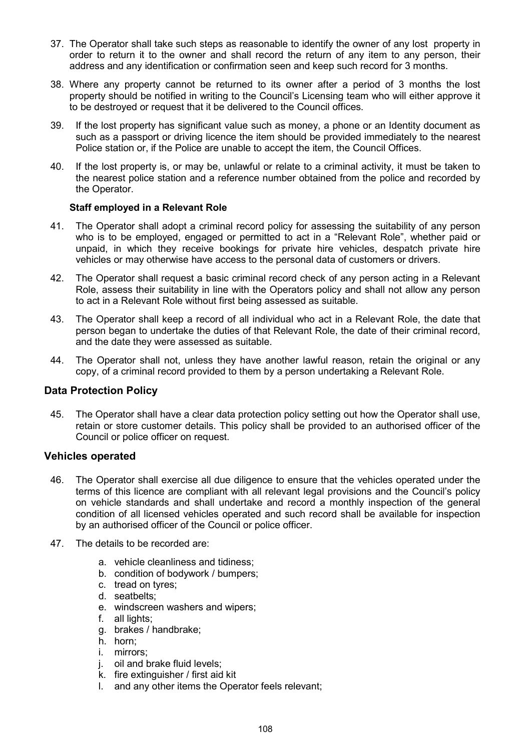- 37. The Operator shall take such steps as reasonable to identify the owner of any lost property in order to return it to the owner and shall record the return of any item to any person, their address and any identification or confirmation seen and keep such record for 3 months.
- 38. Where any property cannot be returned to its owner after a period of 3 months the lost property should be notified in writing to the Council's Licensing team who will either approve it to be destroyed or request that it be delivered to the Council offices.
- 39. If the lost property has significant value such as money, a phone or an Identity document as such as a passport or driving licence the item should be provided immediately to the nearest Police station or, if the Police are unable to accept the item, the Council Offices.
- 40. If the lost property is, or may be, unlawful or relate to a criminal activity, it must be taken to the nearest police station and a reference number obtained from the police and recorded by the Operator.

# Staff employed in a Relevant Role

- 41. The Operator shall adopt a criminal record policy for assessing the suitability of any person who is to be employed, engaged or permitted to act in a "Relevant Role", whether paid or unpaid, in which they receive bookings for private hire vehicles, despatch private hire vehicles or may otherwise have access to the personal data of customers or drivers.
- 42. The Operator shall request a basic criminal record check of any person acting in a Relevant Role, assess their suitability in line with the Operators policy and shall not allow any person to act in a Relevant Role without first being assessed as suitable.
- 43. The Operator shall keep a record of all individual who act in a Relevant Role, the date that person began to undertake the duties of that Relevant Role, the date of their criminal record, and the date they were assessed as suitable.
- 44. The Operator shall not, unless they have another lawful reason, retain the original or any copy, of a criminal record provided to them by a person undertaking a Relevant Role.

# Data Protection Policy

45. The Operator shall have a clear data protection policy setting out how the Operator shall use, retain or store customer details. This policy shall be provided to an authorised officer of the Council or police officer on request.

# Vehicles operated

- 46. The Operator shall exercise all due diligence to ensure that the vehicles operated under the terms of this licence are compliant with all relevant legal provisions and the Council's policy on vehicle standards and shall undertake and record a monthly inspection of the general condition of all licensed vehicles operated and such record shall be available for inspection by an authorised officer of the Council or police officer.
- 47. The details to be recorded are:
	- a. vehicle cleanliness and tidiness;
	- b. condition of bodywork / bumpers;
	- c. tread on tyres;
	- d. seatbelts;
	- e. windscreen washers and wipers;
	- f. all lights;
	- g. brakes / handbrake;
	- h. horn;
	- i. mirrors;
	- j. oil and brake fluid levels;
	- k. fire extinguisher / first aid kit
	- l. and any other items the Operator feels relevant;